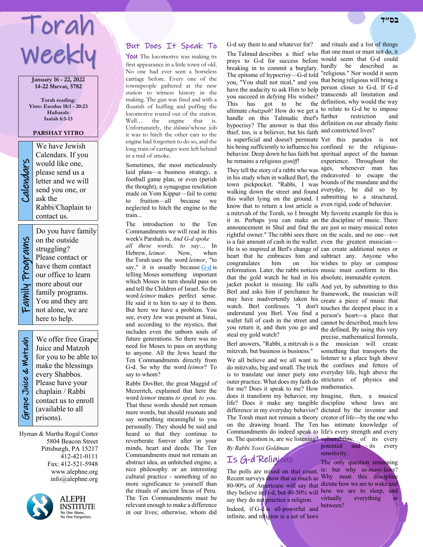# Torah Weekly

**January 16 - 22, 2022 14-22 Shevat, 5782**

**Torah reading: Yitro: Exodus 18:1 - 20:23 Haftarah: Isaiah 6:1-13**

### **PARSHAT YITRO**

We have Jewish<br>Calendars. If you<br>would like one,<br>please send us a<br>letter and we will<br>send you one, or<br>ask the Calendars. If you would like one, please send us a letter and we will send you one, or ask the Rabbi/Chaplain to contact us.

Family Programs Family Programs

on the outside struggling? Please contact or have them contact our office to learn more about our family programs. You and they are not alone, we are here to help.

Do you have family

 Grape Juice & Matzah **Strape Juice & Watzah** 

We offer free Grape Juice and Matzoh for you to be able to make the blessings every Shabbos. Please have your chaplain / Rabbi contact us to enroll (available to all prisons).

Hyman & Martha Rogal Center 5804 Beacon Street Pittsburgh, PA 15217 412-421-0111 Fax: 412-521-5948 www.alephne.org info@alephne.org



**ALEPH** INSTITUTE No One Alone,<br>No One Forgotten.

## But Does It Speak To

YOU The locomotive was making its first appearance in a little town of old. No one had ever seen a horseless carriage before. Every one of the townspeople gathered at the new station to witness history in the making. The gun was fired and with a flourish of huffing and puffing the locomotive roared out of the station.<br>Well... the engine that is. Well... the engine that is. Unfortunately, the *shlemiel* whose job it was to hitch the other cars to the engine had forgotten to do so, and the long train of carriages were left behind in a trail of smoke.

Sometimes, the most meticulously laid plans—a business strategy, a football game plan, or even (perish the thought), a synagogue resolution made on Yom Kippur—fail to come to fruition—all because we neglected to hitch the engine to the train...

The introduction to the Ten Commandments we will read in this week's Parshah is, *And G-d spoke all these words, to say*… In Hebrew, *leimor*. Now, when the Torah uses the word *leimor*, "to say," it is usually because G-d is telling Moses something important which Moses in turn should pass on and tell the Children of Israel. So the word *leimor* makes perfect sense. He said it to him to say it to them. But here we have a problem. You see, every Jew was present at Sinai, and according to the mystics, that includes even the unborn souls of future generations. So there was no need for Moses to pass on anything to anyone. All the Jews heard the Ten Commandments directly from G-d. So why the word *leimor*? To say to whom?

Rabbi DovBer, the great Maggid of Mezeritch, explained that here the word *leimor* means *to speak to you*. That these words should not remain mere words, but should resonate and say something meaningful to you personally. They should be said and heard so that they continue to reverberate forever after in your minds, heart and deeds. The Ten Commandments must not remain an abstract idea, an unhitched engine, a nice philosophy or an interesting cultural practice - something of no more significance to yourself than the rituals of ancient Incas of Peru. The Ten Commandments must be relevant enough to make a difference in our lives; otherwise, whom did

G-d say them to and whatever for? and rituals and a list of things

prays to G-d for success before would seem that G-d could breaking in to commit a burglary. hardly be described as The epitome of hypocrisy—G-d told "religious." Nor would it seem you, "You shall not steal," and you that being religious will bring a have the audacity to ask Him to help person closer to G-d. If G-d you succeed in defying His wishes? transcends all limitation and This has got to be the definition, why would the way ultimate *chutzpah*! How do we get a to relate to G-d be to impose handle on this Talmudic thief's further hypocrisy? The answer is that this definition on our already finite thief, too, is a believer, but his faith and constricted lives? is superficial and doesn't permeate Yet this paradox is not his being sufficiently to influence his confined to the religiousbehavior. Deep down he has faith but spiritual aspect of the human he remains a religious *goniff*!

They tell the story of a rabbi who was ages, whenever man has in his study when in walked Berl, the endeavored to escape the town pickpocket. "Rabbi, I was bounds of the mundane and the walking down the street and found everyday, he did so by this wallet lying on the ground. I submitting to a structured, know that to return a lost article is even rigid, code of behavior. a mitzvah of the Torah, so I brought My favorite example for this is it in. Perhaps you can make an the discipline of music. There announcement in Shul and find the are just so many musical notes rightful owner." The rabbi sees there on the scale, and no one—not is a fair amount of cash in the wallet. even the greatest musician— He is so inspired at Berl's change of can create additional notes or heart that he embraces him and subtract any. Anyone who congratulates him on reformation. Later, the rabbi notices music must conform to this that the gold watch he had in his absolute, immutable system. jacket pocket is missing. He calls And yet, by submitting to this Berl and asks him if perchance he framework, the musician will may have inadvertently taken his create a piece of music that watch. Berl confesses. "I don't touches the deepest place in a understand you Berl. You find a person's heart---a place that wallet full of cash in the street and cannot be described, much less you return it, and then you go and the defined. By using this very steal my gold watch?

Berl answers, "Rabbi, a mitzvah is a the musician will create mitzvah, but business is business."

We all believe and we all want to listener to a place high above do mitzvahs, big and small. The trick the confines and fetters of is to translate our inner piety into everyday life, high above the outer practice. What does my faith do strictures of physics and for me? Does it speak to me? How mathematics. does it transform my behavior, my Imagine, then, a musical life? Does it make any tangible discipline whose laws are difference in my everyday behavior? dictated by the inventor and The Torah must not remain a theory creator of life---by the one who on the drawing board. The Ten has intimate knowledge of Commandments do indeed speak to life's every strength and every us. The question is, are we listening? vulnerability, of its every

*By Rabbi Yossi Goldman*

## Is G-d Religious

The polls are mixed on that count. is: but why so *many* laws? Recent surveys show that as much as Why must this discipline 80-90% of Americans will say that dictate how we are to wake and they believe in  $\mathbf{G}$ -d, but 40-50% will how we are to sleep, and say they do not practice a religion. Indeed, if G-d is all-powerful and infinite, and religion is a set of laws

The Talmud describes a thief who that one must or must not do, it restriction and

experience. Throughout the

his wishes to play or compose

precise, mathematical formula, something that transports the

potential and its every sensitivity.

The only question remaining virtually everything in between?